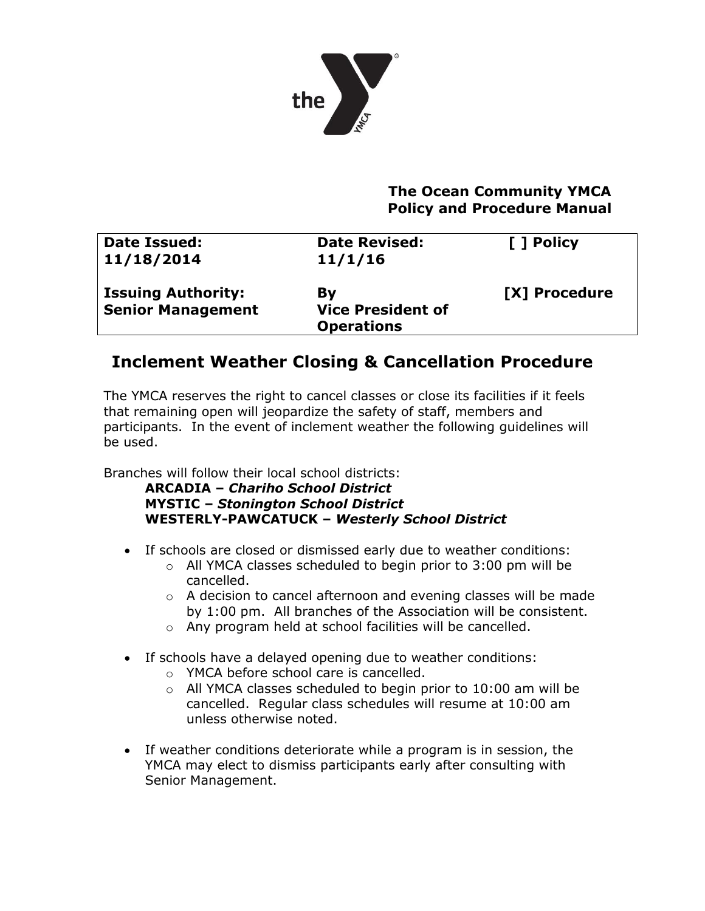

## **The Ocean Community YMCA Policy and Procedure Manual**

| <b>Date Issued:</b><br>11/18/2014                     | <b>Date Revised:</b><br>11/1/16                     | [ ] Policy    |
|-------------------------------------------------------|-----------------------------------------------------|---------------|
| <b>Issuing Authority:</b><br><b>Senior Management</b> | By<br><b>Vice President of</b><br><b>Operations</b> | [X] Procedure |

## **Inclement Weather Closing & Cancellation Procedure**

The YMCA reserves the right to cancel classes or close its facilities if it feels that remaining open will jeopardize the safety of staff, members and participants. In the event of inclement weather the following guidelines will be used.

Branches will follow their local school districts:

**ARCADIA –** *Chariho School District* **MYSTIC –** *Stonington School District* **WESTERLY-PAWCATUCK –** *Westerly School District*

- If schools are closed or dismissed early due to weather conditions:
	- o All YMCA classes scheduled to begin prior to 3:00 pm will be cancelled.
	- o A decision to cancel afternoon and evening classes will be made by 1:00 pm. All branches of the Association will be consistent.
	- o Any program held at school facilities will be cancelled.
- If schools have a delayed opening due to weather conditions:
	- o YMCA before school care is cancelled.
	- $\circ$  All YMCA classes scheduled to begin prior to 10:00 am will be cancelled. Regular class schedules will resume at 10:00 am unless otherwise noted.
- If weather conditions deteriorate while a program is in session, the YMCA may elect to dismiss participants early after consulting with Senior Management.